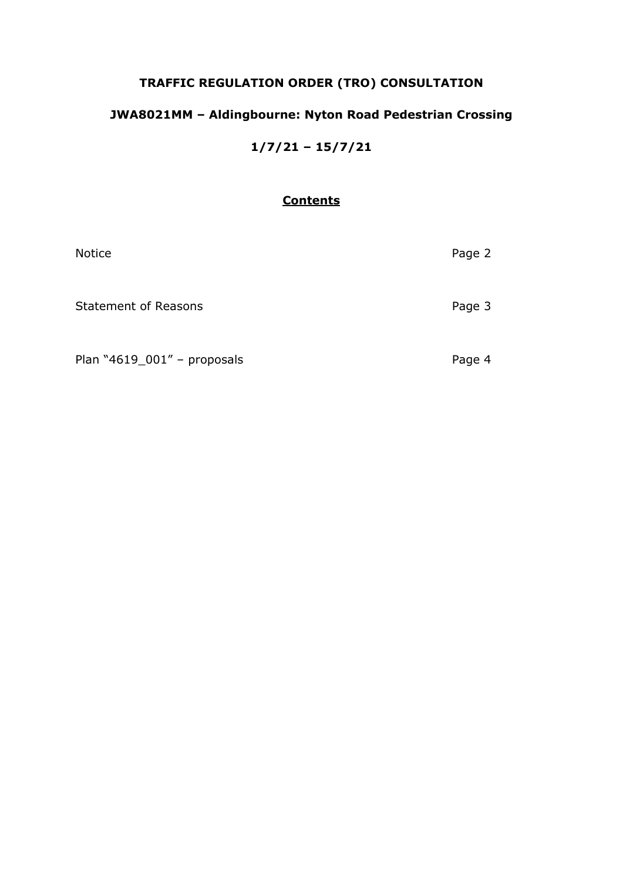# **TRAFFIC REGULATION ORDER (TRO) CONSULTATION**

# **JWA8021MM – Aldingbourne: Nyton Road Pedestrian Crossing**

**1/7/21 – 15/7/21**

## **Contents**

| Notice                      | Page 2 |
|-----------------------------|--------|
| <b>Statement of Reasons</b> | Page 3 |
| Plan "4619_001" - proposals | Page 4 |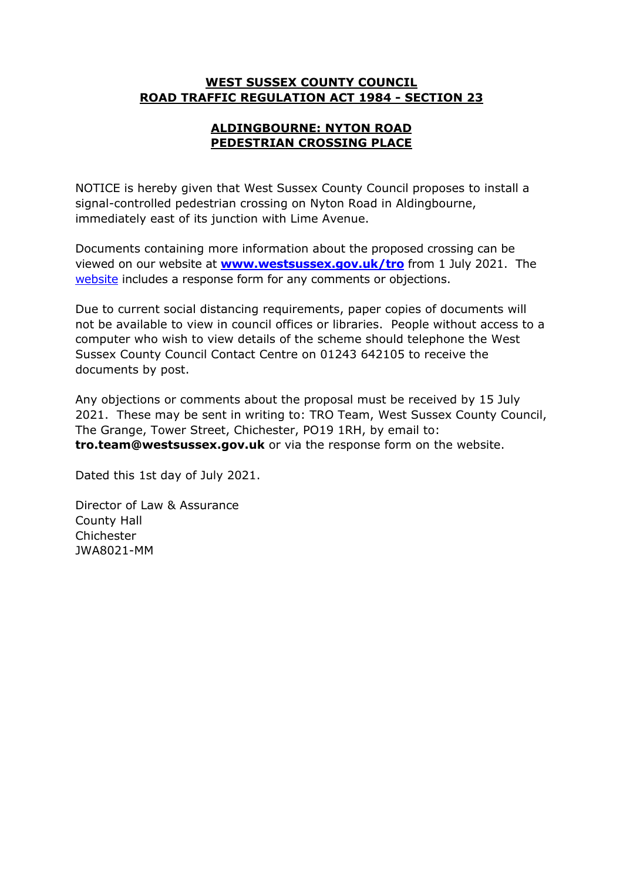### **WEST SUSSEX COUNTY COUNCIL ROAD TRAFFIC REGULATION ACT 1984 - SECTION 23**

## **ALDINGBOURNE: NYTON ROAD PEDESTRIAN CROSSING PLACE**

NOTICE is hereby given that West Sussex County Council proposes to install a signal-controlled pedestrian crossing on Nyton Road in Aldingbourne, immediately east of its junction with Lime Avenue.

Documents containing more information about the proposed crossing can be viewed on our website at **[www.westsussex.gov.uk/tro](http://www.westsussex.gov.uk/tro)** from 1 July 2021. The [website](https://www.westsussex.gov.uk/roads-and-travel/traffic-regulation-orders/) includes a response form for any comments or objections.

Due to current social distancing requirements, paper copies of documents will not be available to view in council offices or libraries. People without access to a computer who wish to view details of the scheme should telephone the West Sussex County Council Contact Centre on 01243 642105 to receive the documents by post.

Any objections or comments about the proposal must be received by 15 July 2021. These may be sent in writing to: TRO Team, West Sussex County Council, The Grange, Tower Street, Chichester, PO19 1RH, by email to: **tro.team@westsussex.gov.uk** or via the response form on the website.

Dated this 1st day of July 2021.

Director of Law & Assurance County Hall Chichester JWA8021-MM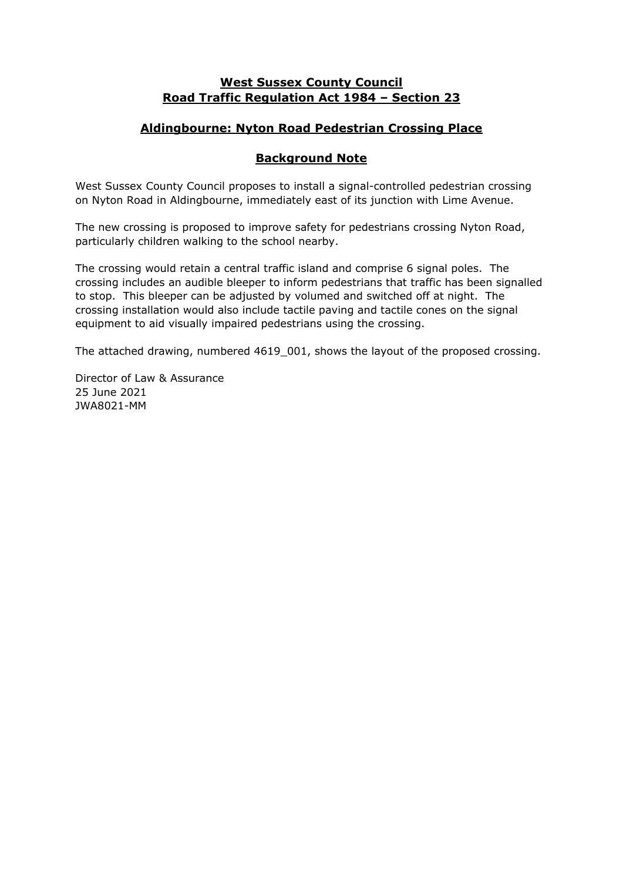### **West Sussex County Council Road Traffic Regulation Act 1984 – Section 23**

## **Aldingbourne: Nyton Road Pedestrian Crossing Place**

### **Background Note**

West Sussex County Council proposes to install a signal-controlled pedestrian crossing on Nyton Road in Aldingbourne, immediately east of its junction with Lime Avenue.

The new crossing is proposed to improve safety for pedestrians crossing Nyton Road, particularly children walking to the school nearby.

The crossing would retain a central traffic island and comprise 6 signal poles. The crossing includes an audible bleeper to inform pedestrians that traffic has been signalled to stop. This bleeper can be adjusted by volumed and switched off at night. The crossing installation would also include tactile paving and tactile cones on the signal equipment to aid visually impaired pedestrians using the crossing.

The attached drawing, numbered 4619 001, shows the layout of the proposed crossing.

Director of Law & Assurance 25 June 2021 JWA8021-MM